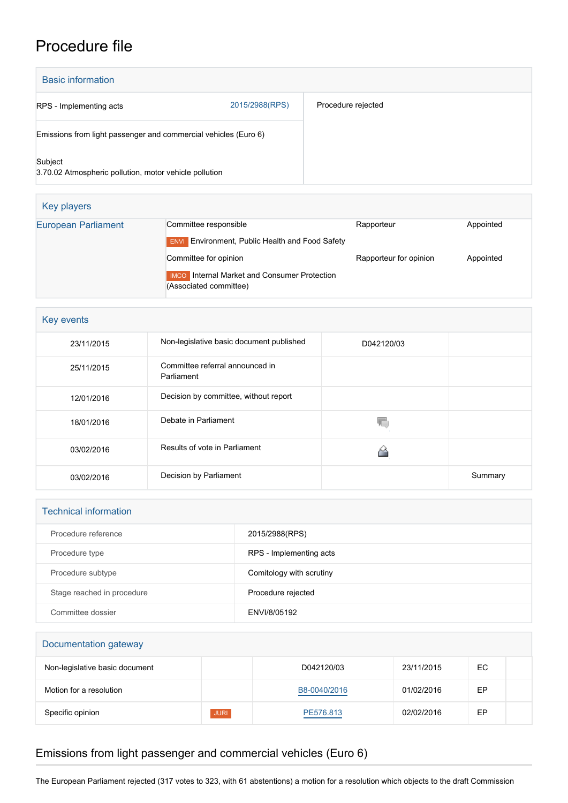## Procedure file

| <b>Basic information</b>                                          |                |                    |
|-------------------------------------------------------------------|----------------|--------------------|
| RPS - Implementing acts                                           | 2015/2988(RPS) | Procedure rejected |
| Emissions from light passenger and commercial vehicles (Euro 6)   |                |                    |
| Subject<br>3.70.02 Atmospheric pollution, motor vehicle pollution |                |                    |

| Key players                |                                                                                                        |                        |           |
|----------------------------|--------------------------------------------------------------------------------------------------------|------------------------|-----------|
| <b>European Parliament</b> | Committee responsible<br><b>ENVI</b> Environment, Public Health and Food Safety                        | Rapporteur             | Appointed |
|                            | Committee for opinion<br><b>IMCO</b> Internal Market and Consumer Protection<br>(Associated committee) | Rapporteur for opinion | Appointed |

| Key events |                                               |            |         |
|------------|-----------------------------------------------|------------|---------|
| 23/11/2015 | Non-legislative basic document published      | D042120/03 |         |
| 25/11/2015 | Committee referral announced in<br>Parliament |            |         |
| 12/01/2016 | Decision by committee, without report         |            |         |
| 18/01/2016 | Debate in Parliament                          |            |         |
| 03/02/2016 | Results of vote in Parliament                 |            |         |
| 03/02/2016 | Decision by Parliament                        |            | Summary |

| <b>Technical information</b> |                          |  |
|------------------------------|--------------------------|--|
| Procedure reference          | 2015/2988(RPS)           |  |
| Procedure type               | RPS - Implementing acts  |  |
| Procedure subtype            | Comitology with scrutiny |  |
| Stage reached in procedure   | Procedure rejected       |  |
| Committee dossier            | ENVI/8/05192             |  |

| Documentation gateway          |             |              |            |     |  |
|--------------------------------|-------------|--------------|------------|-----|--|
| Non-legislative basic document |             | D042120/03   | 23/11/2015 | EC. |  |
| Motion for a resolution        |             | B8-0040/2016 | 01/02/2016 | ЕP  |  |
| Specific opinion               | <b>JURI</b> | PE576.813    | 02/02/2016 | EР  |  |

## Emissions from light passenger and commercial vehicles (Euro 6)